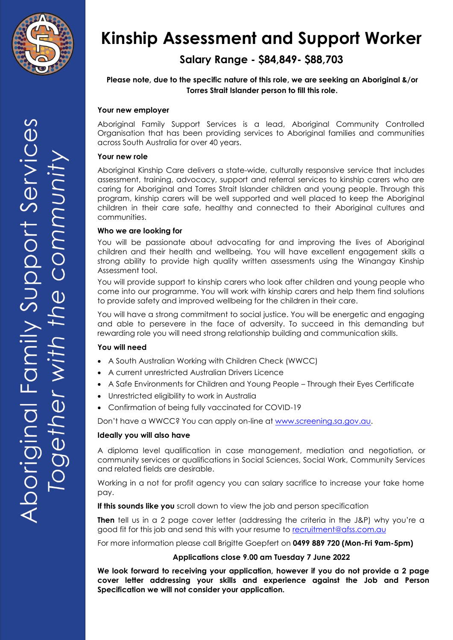

# **Salary Range - \$84,849- \$88,703**

## **Please note, due to the specific nature of this role, we are seeking an Aboriginal &/or Torres Strait Islander person to fill this role.**

## **Your new employer**

Aboriginal Family Support Services is a lead, Aboriginal Community Controlled Organisation that has been providing services to Aboriginal families and communities across South Australia for over 40 years.

#### **Your new role**

Aboriginal Kinship Care delivers a state-wide, culturally responsive service that includes assessment, training, advocacy, support and referral services to kinship carers who are caring for Aboriginal and Torres Strait Islander children and young people. Through this program, kinship carers will be well supported and well placed to keep the Aboriginal children in their care safe, healthy and connected to their Aboriginal cultures and communities.

#### **Who we are looking for**

You will be passionate about advocating for and improving the lives of Aboriginal children and their health and wellbeing. You will have excellent engagement skills a strong ability to provide high quality written assessments using the Winangay Kinship Assessment tool.

You will provide support to kinship carers who look after children and young people who come into our programme. You will work with kinship carers and help them find solutions to provide safety and improved wellbeing for the children in their care.

You will have a strong commitment to social justice. You will be energetic and engaging and able to persevere in the face of adversity. To succeed in this demanding but rewarding role you will need strong relationship building and communication skills.

#### **You will need**

- A South Australian Working with Children Check (WWCC)
- A current unrestricted Australian Drivers Licence
- A Safe Environments for Children and Young People Through their Eyes Certificate
- Unrestricted eligibility to work in Australia
- Confirmation of being fully vaccinated for COVID-19

Don't have a WWCC? You can apply on-line at [www.screening.sa.gov.au.](http://www.screening.sa.gov.au/)

#### **Ideally you will also have**

A diploma level qualification in case management, mediation and negotiation, or community services or qualifications in Social Sciences, Social Work, Community Services and related fields are desirable.

Working in a not for profit agency you can salary sacrifice to increase your take home pay.

**If this sounds like you** scroll down to view the job and person specification

**Then** tell us in a 2 page cover letter (addressing the criteria in the J&P) why you're a good fit for this job and send this with your resume to [recruitment@afss.com.au](mailto:recruitment@afss.com.au)

For more information please call Brigitte Goepfert on **0499 889 720 (Mon-Fri 9am-5pm)**

## **Applications close 9.00 am Tuesday 7 June 2022**

**We look forward to receiving your application, however if you do not provide a 2 page cover letter addressing your skills and experience against the Job and Person Specification we will not consider your application.**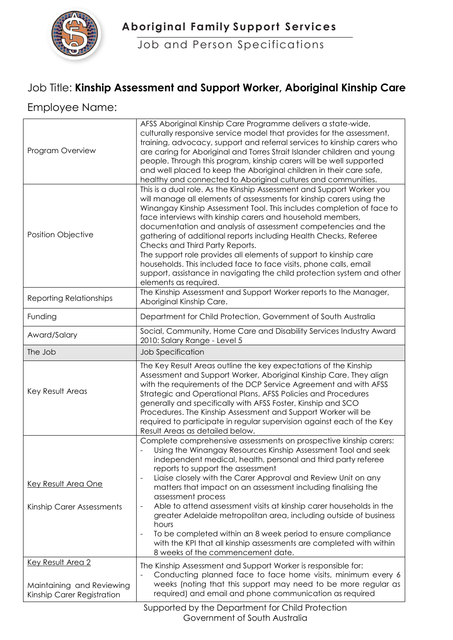

 **Aboriginal Family Support Services**

Job and Person Specifications

## Job Title: **Kinship Assessment and Support Worker, Aboriginal Kinship Care**

## Employee Name:

| Program Overview                                                                    | AFSS Aboriginal Kinship Care Programme delivers a state-wide,<br>culturally responsive service model that provides for the assessment,<br>training, advocacy, support and referral services to kinship carers who<br>are caring for Aboriginal and Torres Strait Islander children and young<br>people. Through this program, kinship carers will be well supported<br>and well placed to keep the Aboriginal children in their care safe,<br>healthy and connected to Aboriginal cultures and communities.                                                                                                                                                                                                                                                                     |
|-------------------------------------------------------------------------------------|---------------------------------------------------------------------------------------------------------------------------------------------------------------------------------------------------------------------------------------------------------------------------------------------------------------------------------------------------------------------------------------------------------------------------------------------------------------------------------------------------------------------------------------------------------------------------------------------------------------------------------------------------------------------------------------------------------------------------------------------------------------------------------|
| <b>Position Objective</b>                                                           | This is a dual role. As the Kinship Assessment and Support Worker you<br>will manage all elements of assessments for kinship carers using the<br>Winangay Kinship Assessment Tool. This includes completion of face to<br>face interviews with kinship carers and household members,<br>documentation and analysis of assessment competencies and the<br>gathering of additional reports including Health Checks, Referee<br>Checks and Third Party Reports.<br>The support role provides all elements of support to kinship care<br>households. This included face to face visits, phone calls, email<br>support, assistance in navigating the child protection system and other<br>elements as required.                                                                      |
| <b>Reporting Relationships</b>                                                      | The Kinship Assessment and Support Worker reports to the Manager,<br>Aboriginal Kinship Care.                                                                                                                                                                                                                                                                                                                                                                                                                                                                                                                                                                                                                                                                                   |
| Funding                                                                             | Department for Child Protection, Government of South Australia                                                                                                                                                                                                                                                                                                                                                                                                                                                                                                                                                                                                                                                                                                                  |
| Award/Salary                                                                        | Social, Community, Home Care and Disability Services Industry Award<br>2010: Salary Range - Level 5                                                                                                                                                                                                                                                                                                                                                                                                                                                                                                                                                                                                                                                                             |
| The Job                                                                             | Job Specification                                                                                                                                                                                                                                                                                                                                                                                                                                                                                                                                                                                                                                                                                                                                                               |
| Key Result Areas                                                                    | The Key Result Areas outline the key expectations of the Kinship<br>Assessment and Support Worker, Aboriginal Kinship Care. They align<br>with the requirements of the DCP Service Agreement and with AFSS<br>Strategic and Operational Plans, AFSS Policies and Procedures<br>generally and specifically with AFSS Foster, Kinship and SCO<br>Procedures. The Kinship Assessment and Support Worker will be<br>required to participate in regular supervision against each of the Key<br>Result Areas as detailed below.                                                                                                                                                                                                                                                       |
| Key Result Area One<br>Kinship Carer Assessments                                    | Complete comprehensive assessments on prospective kinship carers:<br>Using the Winangay Resources Kinship Assessment Tool and seek<br>independent medical, health, personal and third party referee<br>reports to support the assessment<br>Liaise closely with the Carer Approval and Review Unit on any<br>matters that impact on an assessment including finalising the<br>assessment process<br>Able to attend assessment visits at kinship carer households in the<br>$\overline{\phantom{0}}$<br>greater Adelaide metropolitan area, including outside of business<br>hours<br>To be completed within an 8 week period to ensure compliance<br>$\overline{a}$<br>with the KPI that all kinship assessments are completed with within<br>8 weeks of the commencement date. |
| <b>Key Result Area 2</b><br>Maintaining and Reviewing<br>Kinship Carer Registration | The Kinship Assessment and Support Worker is responsible for:<br>Conducting planned face to face home visits, minimum every 6<br>weeks (noting that this support may need to be more regular as<br>required) and email and phone communication as required                                                                                                                                                                                                                                                                                                                                                                                                                                                                                                                      |
|                                                                                     | $\pm$ for $\sim$ $\pm$ 1 $\pm$ $\sim$                                                                                                                                                                                                                                                                                                                                                                                                                                                                                                                                                                                                                                                                                                                                           |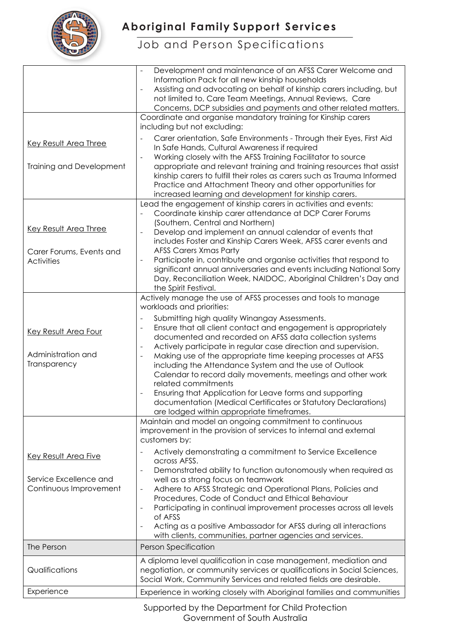

# **Aboriginal Family Support Services**

# Job and Person Specifications

| Key Result Area Three                                                           | Development and maintenance of an AFSS Carer Welcome and<br>$\overline{\phantom{a}}$<br>Information Pack for all new kinship households<br>Assisting and advocating on behalf of kinship carers including, but<br>$\overline{\phantom{0}}$<br>not limited to, Care Team Meetings, Annual Reviews, Care<br>Concerns, DCP subsidies and payments and other related matters.<br>Coordinate and organise mandatory training for Kinship carers<br>including but not excluding:<br>Carer orientation, Safe Environments - Through their Eyes, First Aid<br>In Safe Hands, Cultural Awareness if required                                                                                                                                                                                                                                 |
|---------------------------------------------------------------------------------|-------------------------------------------------------------------------------------------------------------------------------------------------------------------------------------------------------------------------------------------------------------------------------------------------------------------------------------------------------------------------------------------------------------------------------------------------------------------------------------------------------------------------------------------------------------------------------------------------------------------------------------------------------------------------------------------------------------------------------------------------------------------------------------------------------------------------------------|
| Training and Development                                                        | Working closely with the AFSS Training Facilitator to source<br>$\blacksquare$<br>appropriate and relevant training and training resources that assist<br>kinship carers to fulfill their roles as carers such as Trauma Informed<br>Practice and Attachment Theory and other opportunities for<br>increased learning and development for kinship carers.                                                                                                                                                                                                                                                                                                                                                                                                                                                                           |
| <b>Key Result Area Three</b><br>Carer Forums, Events and<br><b>Activities</b>   | Lead the engagement of kinship carers in activities and events:<br>Coordinate kinship carer attendance at DCP Carer Forums<br>(Southern, Central and Northern)<br>Develop and implement an annual calendar of events that<br>includes Foster and Kinship Carers Week, AFSS carer events and<br><b>AFSS Carers Xmas Party</b><br>Participate in, contribute and organise activities that respond to<br>$\overline{a}$<br>significant annual anniversaries and events including National Sorry<br>Day, Reconciliation Week, NAIDOC, Aboriginal Children's Day and<br>the Spirit Festival.                                                                                                                                                                                                                                             |
| Key Result Area Four<br>Administration and<br>Transparency                      | Actively manage the use of AFSS processes and tools to manage<br>workloads and priorities:<br>Submitting high quality Winangay Assessments.<br>Ensure that all client contact and engagement is appropriately<br>-<br>documented and recorded on AFSS data collection systems<br>Actively participate in regular case direction and supervision.<br>$\overline{\phantom{a}}$<br>Making use of the appropriate time keeping processes at AFSS<br>$\qquad \qquad \blacksquare$<br>including the Attendance System and the use of Outlook<br>Calendar to record daily movements, meetings and other work<br>related commitments<br>Ensuring that Application for Leave forms and supporting<br>$\overline{\phantom{a}}$<br>documentation (Medical Certificates or Statutory Declarations)<br>are lodged within appropriate timeframes. |
| <b>Key Result Area Five</b><br>Service Excellence and<br>Continuous Improvement | Maintain and model an ongoing commitment to continuous<br>improvement in the provision of services to internal and external<br>customers by:<br>Actively demonstrating a commitment to Service Excellence<br>across AFSS.<br>Demonstrated ability to function autonomously when required as<br>$\overline{a}$<br>well as a strong focus on teamwork<br>Adhere to AFSS Strategic and Operational Plans, Policies and<br>$\qquad \qquad -$<br>Procedures, Code of Conduct and Ethical Behaviour<br>Participating in continual improvement processes across all levels<br>$\overline{\phantom{0}}$<br>of AFSS<br>Acting as a positive Ambassador for AFSS during all interactions<br>$\overline{\phantom{0}}$<br>with clients, communities, partner agencies and services.                                                             |
| The Person                                                                      | <b>Person Specification</b>                                                                                                                                                                                                                                                                                                                                                                                                                                                                                                                                                                                                                                                                                                                                                                                                         |
| Qualifications                                                                  | A diploma level qualification in case management, mediation and<br>negotiation, or community services or qualifications in Social Sciences,<br>Social Work, Community Services and related fields are desirable.                                                                                                                                                                                                                                                                                                                                                                                                                                                                                                                                                                                                                    |
| Experience                                                                      | Experience in working closely with Aboriginal families and communities                                                                                                                                                                                                                                                                                                                                                                                                                                                                                                                                                                                                                                                                                                                                                              |

Supported by the Department for Child Protection Government of South Australia